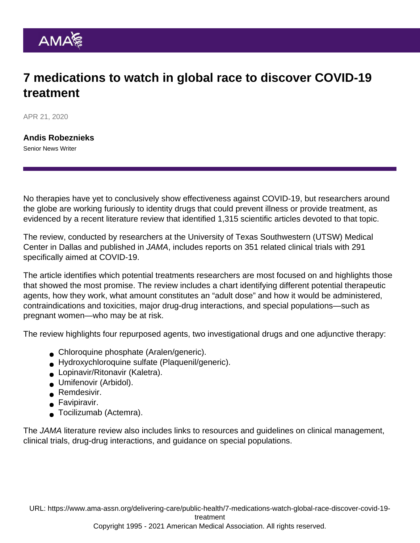## 7 medications to watch in global race to discover COVID-19 treatment

APR 21, 2020

[Andis Robeznieks](https://www.ama-assn.org/news-leadership-viewpoints/authors-news-leadership-viewpoints/andis-robeznieks) Senior News Writer

No therapies have yet to conclusively show effectiveness against COVID-19, but researchers around the globe are working furiously to identity drugs that could prevent illness or provide treatment, as evidenced by a recent [literature review](https://jamanetwork.com/journals/jama/fullarticle/2764727) that identified 1,315 scientific articles devoted to that topic.

The review, conducted by researchers at the University of Texas Southwestern (UTSW) Medical Center in Dallas and published in JAMA, includes reports on 351 related clinical trials with 291 specifically aimed at COVID-19.

The article identifies which potential treatments researchers are most focused on and highlights those that showed the most promise. The review includes a [chart identifying different potential therapeutic](https://cdn.jamanetwork.com/ama/content_public/journal/jama/0/jrv200005t1.png?Expires=2147483647&Signature=JZBj7kD5~EB7cM0F9SbxNGnxGmfZJ929gjv8ZiuV0-FhVLbMn6DNVSoDIY9kbCGI2ZShRvnW7G5S8LGd9YTRgdiutLCSmnEV1n6B4Ah-KW4C~HnLRNyJCvZzX7DnGY7xZwJaGQ75uU74u-EkmTWMgIx0PJ--pssdt~hW20vUDfElUy3Xl-G7CTIpzrODLqA6SZnghz-sQ8KQBWKDS~xo~jDdcY3L8FfOaXqINFtVx0YnUg-dh7czzcj5lwT4qUS5O3UTU6GouW4enzRxoBYUnJzT0uhJDgnsyCPbBEXTh9DvUYkq24bt2Rm4VmzlCSGK6-V3eaNdTkXvWGs0CotlxQ__&Key-Pair-Id=APKAIE5G5CRDK6RD3PGA) [agents](https://cdn.jamanetwork.com/ama/content_public/journal/jama/0/jrv200005t1.png?Expires=2147483647&Signature=JZBj7kD5~EB7cM0F9SbxNGnxGmfZJ929gjv8ZiuV0-FhVLbMn6DNVSoDIY9kbCGI2ZShRvnW7G5S8LGd9YTRgdiutLCSmnEV1n6B4Ah-KW4C~HnLRNyJCvZzX7DnGY7xZwJaGQ75uU74u-EkmTWMgIx0PJ--pssdt~hW20vUDfElUy3Xl-G7CTIpzrODLqA6SZnghz-sQ8KQBWKDS~xo~jDdcY3L8FfOaXqINFtVx0YnUg-dh7czzcj5lwT4qUS5O3UTU6GouW4enzRxoBYUnJzT0uhJDgnsyCPbBEXTh9DvUYkq24bt2Rm4VmzlCSGK6-V3eaNdTkXvWGs0CotlxQ__&Key-Pair-Id=APKAIE5G5CRDK6RD3PGA), how they work, what amount constitutes an "adult dose" and how it would be administered, contraindications and toxicities, major drug-drug interactions, and special populations—such as pregnant women—who may be at risk.

The review highlights four repurposed agents, two investigational drugs and one adjunctive therapy:

- Chloroquine phosphate (Aralen/generic).
- Hydroxychloroquine sulfate (Plaquenil/generic).
- **Lopinavir/Ritonavir (Kaletra).**
- **Jumifenovir (Arbidol).**
- **Remdesivir.**
- Favipiravir.
- Tocilizumab (Actemra).

The JAMA literature review also includes links to resources and guidelines on clinical management, clinical trials, drug-drug interactions, and guidance on special populations.

URL: [https://www.ama-assn.org/delivering-care/public-health/7-medications-watch-global-race-discover-covid-19-](https://www.ama-assn.org/delivering-care/public-health/7-medications-watch-global-race-discover-covid-19-treatment)

[treatment](https://www.ama-assn.org/delivering-care/public-health/7-medications-watch-global-race-discover-covid-19-treatment)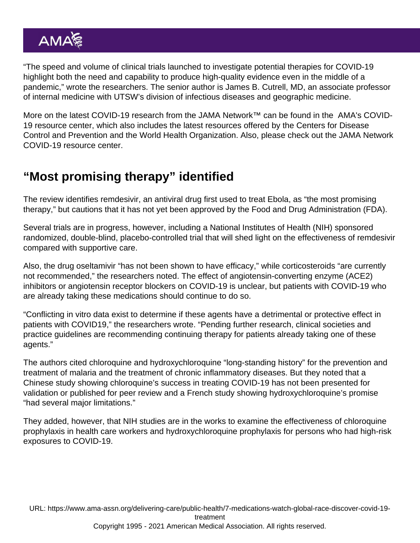"The speed and volume of clinical trials launched to investigate potential therapies for COVID-19 highlight both the need and capability to produce high-quality evidence even in the middle of a pandemic," wrote the researchers. The senior author is James B. Cutrell, MD, an associate professor of internal medicine with UTSW's division of infectious diseases and geographic medicine.

More on the latest COVID-19 research from the [JAMA Network™](https://jamanetwork.com/) can be found in the [AMA's COVID-](https://www.ama-assn.org/delivering-care/public-health/covid-19-2019-novel-coronavirus-resource-center-physicians)[19 resource center](https://www.ama-assn.org/delivering-care/public-health/covid-19-2019-novel-coronavirus-resource-center-physicians), which also includes the latest resources offered by the Centers for Disease Control and Prevention and the World Health Organization. Also, please check out the [JAMA Network](https://jamanetwork.com/journals/jama/pages/coronavirus-alert) [COVID-19 resource center](https://jamanetwork.com/journals/jama/pages/coronavirus-alert).

## "Most promising therapy" identified

The review identifies remdesivir, an antiviral drug first used to treat Ebola, as "the most promising therapy," but cautions that it has not yet been approved by the Food and Drug Administration (FDA).

Several trials are in progress, however, including a National Institutes of Health (NIH) sponsored randomized, double-blind, placebo-controlled trial that will shed light on the effectiveness of remdesivir compared with supportive care.

Also, the drug oseltamivir "has not been shown to have efficacy," while corticosteroids "are currently not recommended," the researchers noted. The effect of angiotensin-converting enzyme (ACE2) inhibitors or angiotensin receptor blockers on COVID-19 is unclear, but patients with COVID-19 who are already taking these medications should continue to do so.

"Conflicting in vitro data exist to determine if these agents have a detrimental or protective effect in patients with COVID19," the researchers wrote. "Pending further research, clinical societies and practice guidelines are recommending continuing therapy for patients already taking one of these agents."

The authors cited chloroquine and hydroxychloroquine "long-standing history" for the prevention and treatment of malaria and the treatment of chronic inflammatory diseases. But they noted that a Chinese study showing chloroquine's success in treating COVID-19 has not been presented for validation or published for peer review and a French study showing hydroxychloroquine's promise "had several major limitations."

They added, however, that NIH studies are in the works to examine the effectiveness of chloroquine prophylaxis in health care workers and hydroxychloroquine prophylaxis for persons who had high-risk exposures to COVID-19.

URL: [https://www.ama-assn.org/delivering-care/public-health/7-medications-watch-global-race-discover-covid-19](https://www.ama-assn.org/delivering-care/public-health/7-medications-watch-global-race-discover-covid-19-treatment) [treatment](https://www.ama-assn.org/delivering-care/public-health/7-medications-watch-global-race-discover-covid-19-treatment) Copyright 1995 - 2021 American Medical Association. All rights reserved.